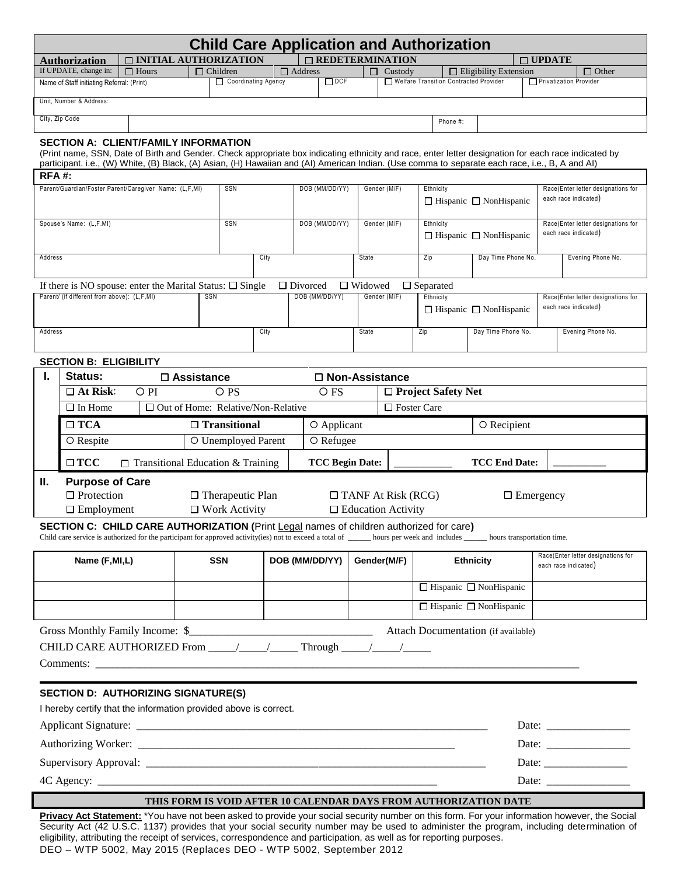| <b>Child Care Application and Authorization</b>                                                                                                     |                                                                                                                                                                                                     |                                                                                                |                                           |                                                    |          |                                                |                    |                                   |                                                                            |                                                 |                                                                                                                                                                               |                                                            |                   |  |
|-----------------------------------------------------------------------------------------------------------------------------------------------------|-----------------------------------------------------------------------------------------------------------------------------------------------------------------------------------------------------|------------------------------------------------------------------------------------------------|-------------------------------------------|----------------------------------------------------|----------|------------------------------------------------|--------------------|-----------------------------------|----------------------------------------------------------------------------|-------------------------------------------------|-------------------------------------------------------------------------------------------------------------------------------------------------------------------------------|------------------------------------------------------------|-------------------|--|
| □ INITIAL AUTHORIZATION<br>$\Box$ REDETERMINATION<br>$\Box$ UPDATE<br><b>Authorization</b>                                                          |                                                                                                                                                                                                     |                                                                                                |                                           |                                                    |          |                                                |                    |                                   |                                                                            |                                                 |                                                                                                                                                                               |                                                            |                   |  |
|                                                                                                                                                     | If UPDATE, change in:<br>$\Box$ Address<br>$\Box$ Hours<br>$\Box$ Children<br>$\Box$ Eligibility Extension<br>$\Box$ Other<br>□<br>Custody                                                          |                                                                                                |                                           |                                                    |          |                                                |                    |                                   |                                                                            |                                                 |                                                                                                                                                                               |                                                            |                   |  |
| Coordinating Agency<br>$\Box$ DCF<br>Welfare Transition Contracted Provider<br>Name of Staff initiating Referral: (Print)<br>Privatization Provider |                                                                                                                                                                                                     |                                                                                                |                                           |                                                    |          |                                                |                    |                                   |                                                                            |                                                 |                                                                                                                                                                               |                                                            |                   |  |
| Unit, Number & Address:                                                                                                                             |                                                                                                                                                                                                     |                                                                                                |                                           |                                                    |          |                                                |                    |                                   |                                                                            |                                                 |                                                                                                                                                                               |                                                            |                   |  |
| City, Zip Code                                                                                                                                      |                                                                                                                                                                                                     |                                                                                                |                                           |                                                    | Phone #: |                                                |                    |                                   |                                                                            |                                                 |                                                                                                                                                                               |                                                            |                   |  |
|                                                                                                                                                     | <b>SECTION A: CLIENT/FAMILY INFORMATION</b><br>(Print name, SSN, Date of Birth and Gender. Check appropriate box indicating ethnicity and race, enter letter designation for each race indicated by |                                                                                                |                                           |                                                    |          |                                                |                    |                                   |                                                                            |                                                 |                                                                                                                                                                               |                                                            |                   |  |
|                                                                                                                                                     |                                                                                                                                                                                                     |                                                                                                |                                           |                                                    |          |                                                |                    |                                   |                                                                            |                                                 | participant. i.e., (W) White, (B) Black, (A) Asian, (H) Hawaiian and (AI) American Indian. (Use comma to separate each race, i.e., B, A and AI)                               |                                                            |                   |  |
| <b>RFA#:</b>                                                                                                                                        |                                                                                                                                                                                                     |                                                                                                |                                           |                                                    |          |                                                |                    |                                   |                                                                            |                                                 |                                                                                                                                                                               |                                                            |                   |  |
|                                                                                                                                                     |                                                                                                                                                                                                     | Parent/Guardian/Foster Parent/Caregiver Name: (L,F,MI)                                         |                                           | SSN                                                |          | DOB (MM/DD/YY)                                 |                    |                                   | Gender (M/F)<br>Ethnicity<br>$\Box$ Hispanic $\Box$ NonHispanic            |                                                 |                                                                                                                                                                               | Race(Enter letter designations for<br>each race indicated) |                   |  |
|                                                                                                                                                     |                                                                                                                                                                                                     |                                                                                                |                                           |                                                    |          |                                                |                    |                                   |                                                                            |                                                 |                                                                                                                                                                               |                                                            |                   |  |
|                                                                                                                                                     | Spouse's Name: (L,F.MI)                                                                                                                                                                             |                                                                                                | SSN                                       |                                                    |          | DOB (MM/DD/YY)                                 |                    |                                   | Gender (M/F)                                                               | Ethnicity<br>$\Box$ Hispanic $\Box$ NonHispanic |                                                                                                                                                                               | Race(Enter letter designations for<br>each race indicated) |                   |  |
|                                                                                                                                                     |                                                                                                                                                                                                     |                                                                                                |                                           |                                                    |          |                                                |                    |                                   |                                                                            |                                                 |                                                                                                                                                                               |                                                            |                   |  |
| Address                                                                                                                                             |                                                                                                                                                                                                     |                                                                                                |                                           |                                                    | City     |                                                |                    | State                             |                                                                            | Zip                                             | Day Time Phone No.                                                                                                                                                            |                                                            | Evening Phone No. |  |
|                                                                                                                                                     |                                                                                                                                                                                                     | If there is NO spouse: enter the Marital Status: $\Box$ Single                                 |                                           |                                                    |          |                                                | $\Box$ Divorced    | $\Box$ Widowed                    |                                                                            | $\Box$ Separated                                |                                                                                                                                                                               |                                                            |                   |  |
|                                                                                                                                                     | Parent/ (if different from above): (L,F,MI)                                                                                                                                                         |                                                                                                | SSN                                       |                                                    |          |                                                | DOB (MM/DD/YY)     |                                   | Gender (M/F)                                                               | Ethnicity                                       |                                                                                                                                                                               | Race(Enter letter designations for<br>each race indicated) |                   |  |
|                                                                                                                                                     |                                                                                                                                                                                                     |                                                                                                |                                           |                                                    |          |                                                |                    |                                   |                                                                            |                                                 | $\Box$ Hispanic $\Box$ NonHispanic                                                                                                                                            |                                                            |                   |  |
| Address                                                                                                                                             |                                                                                                                                                                                                     |                                                                                                |                                           |                                                    | City     |                                                |                    | State                             |                                                                            | Zip                                             | Day Time Phone No.                                                                                                                                                            |                                                            | Evening Phone No. |  |
|                                                                                                                                                     |                                                                                                                                                                                                     |                                                                                                |                                           |                                                    |          |                                                |                    |                                   |                                                                            |                                                 |                                                                                                                                                                               |                                                            |                   |  |
|                                                                                                                                                     | <b>SECTION B: ELIGIBILITY</b>                                                                                                                                                                       |                                                                                                |                                           |                                                    |          |                                                |                    |                                   |                                                                            |                                                 |                                                                                                                                                                               |                                                            |                   |  |
| ı.                                                                                                                                                  | Status:<br>$\Box$ At Risk:                                                                                                                                                                          | OPI                                                                                            | $\Box$ Assistance                         |                                                    |          | □ Non-Assistance                               |                    |                                   |                                                                            |                                                 |                                                                                                                                                                               |                                                            |                   |  |
|                                                                                                                                                     |                                                                                                                                                                                                     |                                                                                                |                                           | O PS                                               |          |                                                |                    | $\Box$ Project Safety Net<br>O FS |                                                                            |                                                 |                                                                                                                                                                               |                                                            |                   |  |
|                                                                                                                                                     | $\Box$ In Home                                                                                                                                                                                      |                                                                                                | $\Box$ Out of Home: Relative/Non-Relative |                                                    |          |                                                | $\Box$ Foster Care |                                   |                                                                            |                                                 |                                                                                                                                                                               |                                                            |                   |  |
|                                                                                                                                                     | $\Box$ TCA                                                                                                                                                                                          |                                                                                                |                                           | $\Box$ Transitional                                |          |                                                | O Applicant        |                                   |                                                                            | O Recipient                                     |                                                                                                                                                                               |                                                            |                   |  |
|                                                                                                                                                     | O Respite                                                                                                                                                                                           |                                                                                                | O Unemployed Parent                       |                                                    |          | O Refugee                                      |                    |                                   |                                                                            |                                                 |                                                                                                                                                                               |                                                            |                   |  |
|                                                                                                                                                     | $\square$ TCC                                                                                                                                                                                       | $\Box$ Transitional Education & Training                                                       |                                           |                                                    |          | <b>TCC Begin Date:</b><br><b>TCC End Date:</b> |                    |                                   |                                                                            |                                                 |                                                                                                                                                                               |                                                            |                   |  |
| Ш.                                                                                                                                                  | <b>Purpose of Care</b><br>$\Box$ Protection                                                                                                                                                         |                                                                                                |                                           |                                                    |          |                                                |                    |                                   |                                                                            |                                                 |                                                                                                                                                                               |                                                            |                   |  |
|                                                                                                                                                     | $\Box$ Employment                                                                                                                                                                                   |                                                                                                |                                           | $\Box$ Therapeutic Plan<br>$\square$ Work Activity |          |                                                |                    |                                   | $\Box$ TANF At Risk (RCG)<br>$\Box$ Emergency<br>$\Box$ Education Activity |                                                 |                                                                                                                                                                               |                                                            |                   |  |
|                                                                                                                                                     |                                                                                                                                                                                                     | <b>SECTION C: CHILD CARE AUTHORIZATION (Print Legal names of children authorized for care)</b> |                                           |                                                    |          |                                                |                    |                                   |                                                                            |                                                 |                                                                                                                                                                               |                                                            |                   |  |
|                                                                                                                                                     |                                                                                                                                                                                                     |                                                                                                |                                           |                                                    |          |                                                |                    |                                   |                                                                            |                                                 | Child care service is authorized for the participant for approved activity(ies) not to exceed a total of ______ hours per week and includes ______ hours transportation time. |                                                            |                   |  |
|                                                                                                                                                     | Name (F, MI, L)                                                                                                                                                                                     |                                                                                                | <b>SSN</b>                                |                                                    |          |                                                | DOB (MM/DD/YY)     | Gender(M/F)                       |                                                                            | <b>Ethnicity</b>                                |                                                                                                                                                                               | Race(Enter letter designations for<br>each race indicated) |                   |  |
|                                                                                                                                                     |                                                                                                                                                                                                     |                                                                                                |                                           |                                                    |          |                                                |                    |                                   |                                                                            |                                                 | $\Box$ Hispanic $\Box$ NonHispanic                                                                                                                                            |                                                            |                   |  |
|                                                                                                                                                     |                                                                                                                                                                                                     |                                                                                                |                                           |                                                    |          |                                                |                    |                                   |                                                                            |                                                 | $\Box$ Hispanic $\Box$ NonHispanic                                                                                                                                            |                                                            |                   |  |
|                                                                                                                                                     |                                                                                                                                                                                                     |                                                                                                |                                           |                                                    |          |                                                |                    |                                   |                                                                            |                                                 |                                                                                                                                                                               |                                                            |                   |  |
|                                                                                                                                                     |                                                                                                                                                                                                     |                                                                                                |                                           |                                                    |          |                                                |                    |                                   |                                                                            |                                                 | <b>Attach Documentation</b> (if available)                                                                                                                                    |                                                            |                   |  |
|                                                                                                                                                     |                                                                                                                                                                                                     | CHILD CARE AUTHORIZED From $/$ / Through $/$ /                                                 |                                           |                                                    |          |                                                |                    |                                   |                                                                            |                                                 |                                                                                                                                                                               |                                                            |                   |  |
|                                                                                                                                                     |                                                                                                                                                                                                     |                                                                                                |                                           |                                                    |          |                                                |                    |                                   |                                                                            |                                                 |                                                                                                                                                                               |                                                            |                   |  |
|                                                                                                                                                     |                                                                                                                                                                                                     | <b>SECTION D: AUTHORIZING SIGNATURE(S)</b>                                                     |                                           |                                                    |          |                                                |                    |                                   |                                                                            |                                                 |                                                                                                                                                                               |                                                            |                   |  |
| I hereby certify that the information provided above is correct.                                                                                    |                                                                                                                                                                                                     |                                                                                                |                                           |                                                    |          |                                                |                    |                                   |                                                                            |                                                 |                                                                                                                                                                               |                                                            |                   |  |
| Date: $\frac{1}{\sqrt{1-\frac{1}{2}} \cdot \frac{1}{2}}$                                                                                            |                                                                                                                                                                                                     |                                                                                                |                                           |                                                    |          |                                                |                    |                                   |                                                                            |                                                 |                                                                                                                                                                               |                                                            |                   |  |
| Date: $\frac{1}{\sqrt{1-\frac{1}{2}} \cdot \frac{1}{2}}$                                                                                            |                                                                                                                                                                                                     |                                                                                                |                                           |                                                    |          |                                                |                    |                                   |                                                                            |                                                 |                                                                                                                                                                               |                                                            |                   |  |
|                                                                                                                                                     |                                                                                                                                                                                                     |                                                                                                |                                           |                                                    |          |                                                |                    |                                   |                                                                            |                                                 |                                                                                                                                                                               |                                                            |                   |  |
|                                                                                                                                                     |                                                                                                                                                                                                     |                                                                                                |                                           |                                                    |          |                                                |                    |                                   |                                                                            |                                                 |                                                                                                                                                                               |                                                            |                   |  |
| THIS FORM IS VOID AFTER 10 CALENDAR DAYS FROM AUTHORIZATION DATE                                                                                    |                                                                                                                                                                                                     |                                                                                                |                                           |                                                    |          |                                                |                    |                                   |                                                                            |                                                 |                                                                                                                                                                               |                                                            |                   |  |
|                                                                                                                                                     |                                                                                                                                                                                                     |                                                                                                |                                           |                                                    |          |                                                |                    |                                   |                                                                            |                                                 |                                                                                                                                                                               |                                                            |                   |  |

DEO – WTP 5002, May 2015 (Replaces DEO - WTP 5002, September 2012 **Privacy Act Statement:** \*You have not been asked to provide your social security number on this form. For your information however, the Social Security Act (42 U.S.C. 1137) provides that your social security number may be used to administer the program, including determination of eligibility, attributing the receipt of services, correspondence and participation, as well as for reporting purposes.